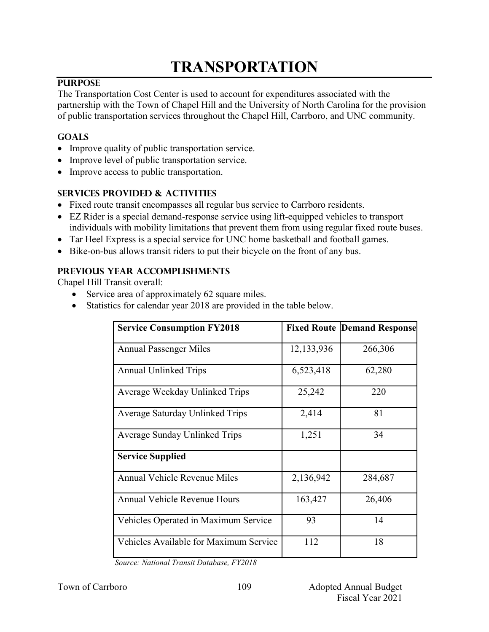# **TRANSPORTATION**

## **PURPOSE**

The Transportation Cost Center is used to account for expenditures associated with the partnership with the Town of Chapel Hill and the University of North Carolina for the provision of public transportation services throughout the Chapel Hill, Carrboro, and UNC community.

# **GOALS**

- Improve quality of public transportation service.
- Improve level of public transportation service.
- Improve access to public transportation.

# **SERVICES PROVIDED & ACTIVITIES**

- Fixed route transit encompasses all regular bus service to Carrboro residents.
- EZ Rider is a special demand-response service using lift-equipped vehicles to transport individuals with mobility limitations that prevent them from using regular fixed route buses.
- Tar Heel Express is a special service for UNC home basketball and football games.
- Bike-on-bus allows transit riders to put their bicycle on the front of any bus.

# **PREVIOUS YEAR ACCOMPLISHMENTS**

Chapel Hill Transit overall:

- Service area of approximately 62 square miles.
- Statistics for calendar year 2018 are provided in the table below.

| <b>Service Consumption FY2018</b>      |            | <b>Fixed Route Demand Response</b> |
|----------------------------------------|------------|------------------------------------|
| <b>Annual Passenger Miles</b>          | 12,133,936 | 266,306                            |
| <b>Annual Unlinked Trips</b>           | 6,523,418  | 62,280                             |
| Average Weekday Unlinked Trips         | 25,242     | 220                                |
| Average Saturday Unlinked Trips        | 2,414      | 81                                 |
| Average Sunday Unlinked Trips          | 1,251      | 34                                 |
| <b>Service Supplied</b>                |            |                                    |
| <b>Annual Vehicle Revenue Miles</b>    | 2,136,942  | 284,687                            |
| Annual Vehicle Revenue Hours           | 163,427    | 26,406                             |
| Vehicles Operated in Maximum Service   | 93         | 14                                 |
| Vehicles Available for Maximum Service | 112        | 18                                 |

*Source: National Transit Database, FY2018*